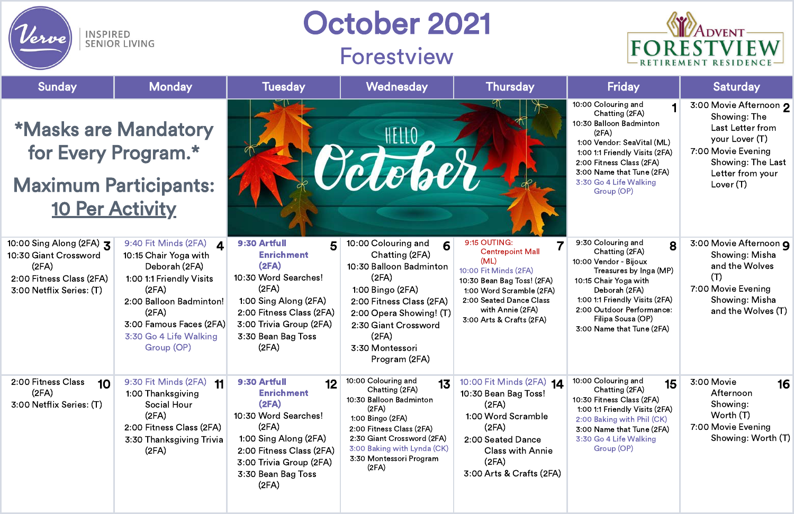

INSPIRED<br>SENIOR LIVING

'erve

| <b>Sunday</b>                                                                                                      | <b>Monday</b>                                                                                                                                                                                                | <b>Tuesday</b>                                                                                                                                                                                   | Wednesday                                                                                                                                                                                                                        | <b>Thursday</b>                                                                                                                                                                                               | <b>Friday</b>                                                                                                                                                                                                                                           | <b>Saturday</b>                                                                                                                                                          |
|--------------------------------------------------------------------------------------------------------------------|--------------------------------------------------------------------------------------------------------------------------------------------------------------------------------------------------------------|--------------------------------------------------------------------------------------------------------------------------------------------------------------------------------------------------|----------------------------------------------------------------------------------------------------------------------------------------------------------------------------------------------------------------------------------|---------------------------------------------------------------------------------------------------------------------------------------------------------------------------------------------------------------|---------------------------------------------------------------------------------------------------------------------------------------------------------------------------------------------------------------------------------------------------------|--------------------------------------------------------------------------------------------------------------------------------------------------------------------------|
| <b>*Masks are Mandatory</b><br>for Every Program.*<br><b>Maximum Participants:</b><br><b>10 Per Activity</b>       |                                                                                                                                                                                                              |                                                                                                                                                                                                  | <i><b>JELEVER</b></i>                                                                                                                                                                                                            |                                                                                                                                                                                                               | 10:00 Colouring and<br>Chatting (2FA)<br>10:30 Balloon Badminton<br>(2FA)<br>1:00 Vendor: SeaVital (ML)<br>1:00 1:1 Friendly Visits (2FA)<br>2:00 Fitness Class (2FA)<br>3:00 Name that Tune (2FA)<br>3:30 Go 4 Life Walking<br>Group (OP)              | 3:00 Movie Afternoon 2<br>Showing: The<br><b>Last Letter from</b><br>your Lover (T)<br>7:00 Movie Evening<br><b>Showing: The Last</b><br>Letter from your<br>Lover $(T)$ |
| 10:00 Sing Along (2FA) 3<br>10:30 Giant Crossword<br>(2FA)<br>2:00 Fitness Class (2FA)<br>3:00 Netflix Series: (T) | 9:40 Fit Minds (2FA) 4<br>10:15 Chair Yoga with<br>Deborah (2FA)<br>1:00 1:1 Friendly Visits<br>(2FA)<br>2:00 Balloon Badminton!<br>(2FA)<br>3:00 Famous Faces (2FA)<br>3:30 Go 4 Life Walking<br>Group (OP) | 9:30 Artfull<br>5<br><b>Enrichment</b><br>(2FA)<br>10:30 Word Searches!<br>(2FA)<br>1:00 Sing Along (2FA)<br>2:00 Fitness Class (2FA)<br>3:00 Trivia Group (2FA)<br>3:30 Bean Bag Toss<br>(2FA)  | 10:00 Colouring and<br>6<br>Chatting (2FA)<br>10:30 Balloon Badminton<br>(2FA)<br>1:00 Bingo (2FA)<br>2:00 Fitness Class (2FA)<br>2:00 Opera Showing! (T)<br>2:30 Giant Crossword<br>(2FA)<br>3:30 Montessori<br>Program (2FA)   | 9:15 OUTING:<br><b>Centrepoint Mall</b><br>(ML)<br>10:00 Fit Minds (2FA)<br>10:30 Bean Bag Toss! (2FA)<br>1:00 Word Scramble (2FA)<br>2:00 Seated Dance Class<br>with Annie (2FA)<br>3:00 Arts & Crafts (2FA) | 9:30 Colouring and<br>8<br>Chatting (2FA)<br>10:00 Vendor - Bijoux<br>Treasures by Inga (MP)<br>10:15 Chair Yoga with<br>Deborah (2FA)<br>1:00 1:1 Friendly Visits (2FA)<br>2:00 Outdoor Performance:<br>Filipa Sousa (OP)<br>3:00 Name that Tune (2FA) | 3:00 Movie Afternoon 9<br>Showing: Misha<br>and the Wolves<br>(T)<br>7:00 Movie Evening<br><b>Showing: Misha</b><br>and the Wolves (T)                                   |
| 2:00 Fitness Class<br>10<br>(2FA)<br>3:00 Netflix Series: (T)                                                      | 9:30 Fit Minds (2FA)<br>$-11$<br>1:00 Thanksgiving<br><b>Social Hour</b><br>(2FA)<br>2:00 Fitness Class (2FA)<br>3:30 Thanksgiving Trivia<br>(2FA)                                                           | 9:30 Artfull<br>12<br><b>Enrichment</b><br>(2FA)<br>10:30 Word Searches!<br>(2FA)<br>1:00 Sing Along (2FA)<br>2:00 Fitness Class (2FA)<br>3:00 Trivia Group (2FA)<br>3:30 Bean Bag Toss<br>(2FA) | 10:00 Colouring and<br>13<br>Chatting (2FA)<br>10:30 Balloon Badminton<br>(2FA)<br>1:00 Bingo (2FA)<br>2:00 Fitness Class (2FA)<br>2:30 Giant Crossword (2FA)<br>3:00 Baking with Lynda (CK)<br>3:30 Montessori Program<br>(2FA) | 10:00 Fit Minds (2FA) 14<br>10:30 Bean Bag Toss!<br>(2FA)<br>1:00 Word Scramble<br>(2FA)<br>2:00 Seated Dance<br><b>Class with Annie</b><br>(2FA)<br>3:00 Arts & Crafts (2FA)                                 | 10:00 Colouring and<br>15<br>Chatting (2FA)<br>10:30 Fitness Class (2FA)<br>1:00 1:1 Friendly Visits (2FA)<br>2:00 Baking with Phil (CK)<br>3:00 Name that Tune (2FA)<br>3:30 Go 4 Life Walking<br>Group (OP)                                           | 3:00 Movie<br>16<br>Afternoon<br>Showing:<br>Worth (T)<br>7:00 Movie Evening<br>Showing: Worth (T)                                                                       |